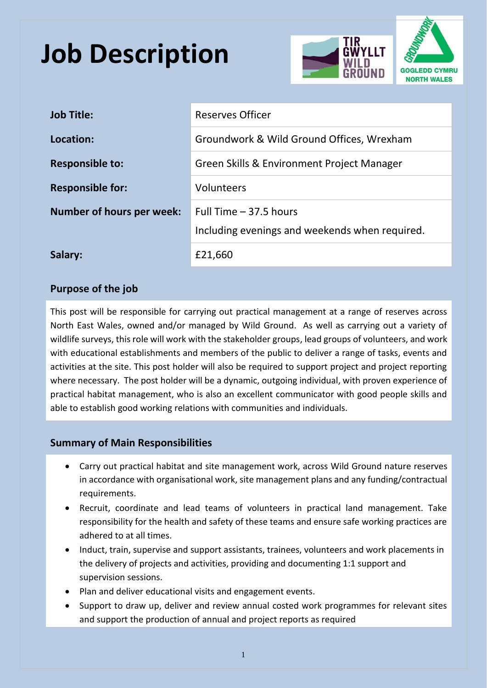## **Job Description**



| <b>Job Title:</b>                | <b>Reserves Officer</b>                                                   |
|----------------------------------|---------------------------------------------------------------------------|
| Location:                        | Groundwork & Wild Ground Offices, Wrexham                                 |
| <b>Responsible to:</b>           | Green Skills & Environment Project Manager                                |
| <b>Responsible for:</b>          | Volunteers                                                                |
| <b>Number of hours per week:</b> | Full Time $-37.5$ hours<br>Including evenings and weekends when required. |
| Salary:                          | £21,660                                                                   |

## **Purpose of the job**

This post will be responsible for carrying out practical management at a range of reserves across North East Wales, owned and/or managed by Wild Ground. As well as carrying out a variety of wildlife surveys, this role will work with the stakeholder groups, lead groups of volunteers, and work with educational establishments and members of the public to deliver a range of tasks, events and activities at the site. This post holder will also be required to support project and project reporting where necessary. The post holder will be a dynamic, outgoing individual, with proven experience of practical habitat management, who is also an excellent communicator with good people skills and able to establish good working relations with communities and individuals.

## **Summary of Main Responsibilities**

- Carry out practical habitat and site management work, across Wild Ground nature reserves in accordance with organisational work, site management plans and any funding/contractual requirements.
- Recruit, coordinate and lead teams of volunteers in practical land management. Take responsibility for the health and safety of these teams and ensure safe working practices are adhered to at all times.
- Induct, train, supervise and support assistants, trainees, volunteers and work placements in the delivery of projects and activities, providing and documenting 1:1 support and supervision sessions.
- Plan and deliver educational visits and engagement events.
- Support to draw up, deliver and review annual costed work programmes for relevant sites and support the production of annual and project reports as required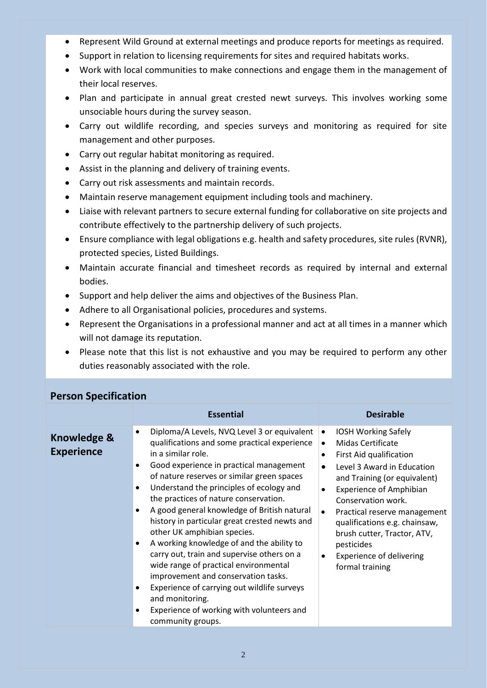- Represent Wild Ground at external meetings and produce reports for meetings as required.
- Support in relation to licensing requirements for sites and required habitats works.
- Work with local communities to make connections and engage them in the management of their local reserves.
- Plan and participate in annual great crested newt surveys. This involves working some unsociable hours during the survey season.
- Carry out wildlife recording, and species surveys and monitoring as required for site management and other purposes.
- Carry out regular habitat monitoring as required.
- Assist in the planning and delivery of training events.
- Carry out risk assessments and maintain records.
- Maintain reserve management equipment including tools and machinery.
- Liaise with relevant partners to secure external funding for collaborative on site projects and contribute effectively to the partnership delivery of such projects.
- Ensure compliance with legal obligations e.g. health and safety procedures, site rules (RVNR), protected species, Listed Buildings.
- Maintain accurate financial and timesheet records as required by internal and external bodies.
- Support and help deliver the aims and objectives of the Business Plan.
- Adhere to all Organisational policies, procedures and systems.
- Represent the Organisations in a professional manner and act at all times in a manner which will not damage its reputation.
- Please note that this list is not exhaustive and you may be required to perform any other duties reasonably associated with the role.

| <b>FEISUIL SPECIFICATION</b>                |                                                                                                                                                                                                                                                                                                                                                                                                                                                                                                                                                                                                                                                                                                                                                                                                                     |                                                                                                                                                                                                                                                                                                                                                                                                                                                                        |  |
|---------------------------------------------|---------------------------------------------------------------------------------------------------------------------------------------------------------------------------------------------------------------------------------------------------------------------------------------------------------------------------------------------------------------------------------------------------------------------------------------------------------------------------------------------------------------------------------------------------------------------------------------------------------------------------------------------------------------------------------------------------------------------------------------------------------------------------------------------------------------------|------------------------------------------------------------------------------------------------------------------------------------------------------------------------------------------------------------------------------------------------------------------------------------------------------------------------------------------------------------------------------------------------------------------------------------------------------------------------|--|
|                                             | <b>Essential</b>                                                                                                                                                                                                                                                                                                                                                                                                                                                                                                                                                                                                                                                                                                                                                                                                    | <b>Desirable</b>                                                                                                                                                                                                                                                                                                                                                                                                                                                       |  |
| <b>Knowledge &amp;</b><br><b>Experience</b> | Diploma/A Levels, NVQ Level 3 or equivalent<br>$\bullet$<br>qualifications and some practical experience<br>in a similar role.<br>Good experience in practical management<br>$\bullet$<br>of nature reserves or similar green spaces<br>Understand the principles of ecology and<br>$\bullet$<br>the practices of nature conservation.<br>A good general knowledge of British natural<br>history in particular great crested newts and<br>other UK amphibian species.<br>A working knowledge of and the ability to<br>$\bullet$<br>carry out, train and supervise others on a<br>wide range of practical environmental<br>improvement and conservation tasks.<br>Experience of carrying out wildlife surveys<br>٠<br>and monitoring.<br>Experience of working with volunteers and<br>$\bullet$<br>community groups. | <b>IOSH Working Safely</b><br>$\bullet$<br><b>Midas Certificate</b><br>$\bullet$<br>First Aid qualification<br>$\bullet$<br>Level 3 Award in Education<br>$\bullet$<br>and Training (or equivalent)<br><b>Experience of Amphibian</b><br>$\bullet$<br>Conservation work.<br>Practical reserve management<br>$\bullet$<br>qualifications e.g. chainsaw,<br>brush cutter, Tractor, ATV,<br>pesticides<br><b>Experience of delivering</b><br>$\bullet$<br>formal training |  |

## **Person Specification**